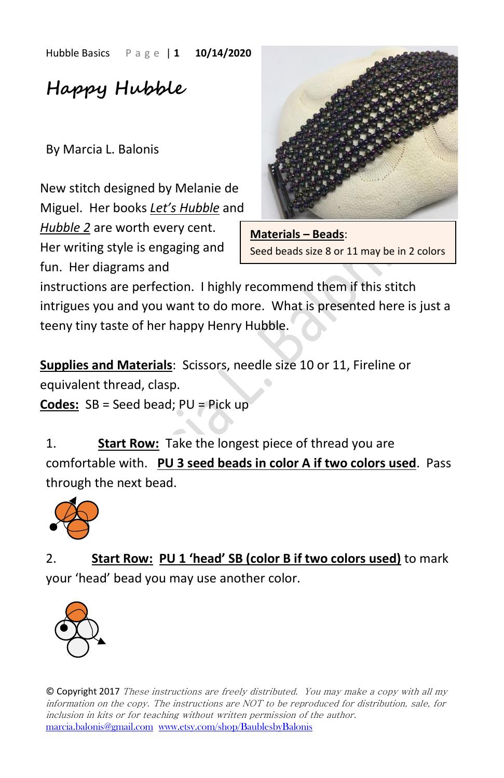Hubble Basics P a g e | **1 10/14/2020**

**Happy Hubble**

By Marcia L. Balonis

New stitch designed by Melanie de Miguel. Her books *Let's Hubble* and

*Hubble 2* are worth every cent. Her writing style is engaging and fun. Her diagrams and



**Materials – Beads**: Seed beads size 8 or 11 may be in 2 colors

instructions are perfection. I highly recommend them if this stitch intrigues you and you want to do more. What is presented here is just a teeny tiny taste of her happy Henry Hubble.

**Supplies and Materials**: Scissors, needle size 10 or 11, Fireline or equivalent thread, clasp.

**Codes:** SB = Seed bead; PU = Pick up

1. **Start Row:** Take the longest piece of thread you are comfortable with. **PU 3 seed beads in color A if two colors used**. Pass through the next bead.



2. **Start Row: PU 1 'head' SB (color B if two colors used)** to mark your 'head' bead you may use another color.



© Copyright 2017 These instructions are freely distributed. You may make a copy with all my information on the copy. The instructions are NOT to be reproduced for distribution, sale, for inclusion in kits or for teaching without written permission of the author. [marcia.balonis@gmail.com](mailto:marcia.balonis@gmail.com) [www.etsy.com/shop/BaublesbyBalonis](http://www.etsy.com/shop/BaublesbyBalonis)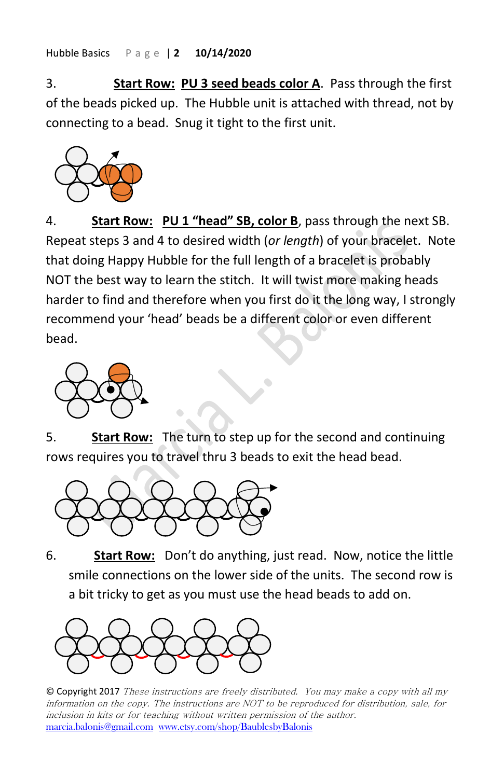Hubble Basics P a g e | **2 10/14/2020**

3. **Start Row: PU 3 seed beads color A**. Pass through the first of the beads picked up. The Hubble unit is attached with thread, not by connecting to a bead. Snug it tight to the first unit.



4. **Start Row: PU 1 "head" SB, color B**, pass through the next SB. Repeat steps 3 and 4 to desired width (*or length*) of your bracelet. Note that doing Happy Hubble for the full length of a bracelet is probably NOT the best way to learn the stitch. It will twist more making heads harder to find and therefore when you first do it the long way, I strongly recommend your 'head' beads be a different color or even different bead.



5. **Start Row:** The turn to step up for the second and continuing rows requires you to travel thru 3 beads to exit the head bead.

 $\hat{\phantom{a}}$ 



6. **Start Row:** Don't do anything, just read. Now, notice the little smile connections on the lower side of the units. The second row is a bit tricky to get as you must use the head beads to add on.



© Copyright 2017 These instructions are freely distributed. You may make a copy with all my information on the copy. The instructions are NOT to be reproduced for distribution, sale, for inclusion in kits or for teaching without written permission of the author. [marcia.balonis@gmail.com](mailto:marcia.balonis@gmail.com) [www.etsy.com/shop/BaublesbyBalonis](http://www.etsy.com/shop/BaublesbyBalonis)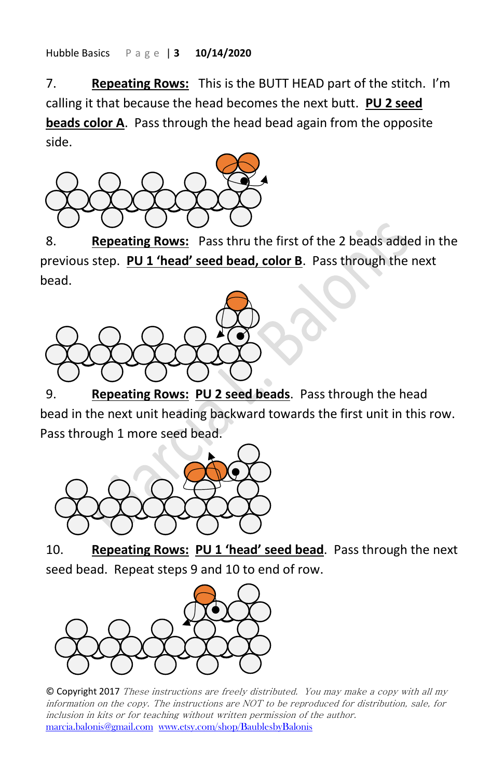Hubble Basics P a g e | **3 10/14/2020**

7. **Repeating Rows:** This is the BUTT HEAD part of the stitch. I'm calling it that because the head becomes the next butt. **PU 2 seed beads color A**. Pass through the head bead again from the opposite side.



8. **Repeating Rows:** Pass thru the first of the 2 beads added in the previous step. **PU 1 'head' seed bead, color B**. Pass through the next bead.



9. **Repeating Rows: PU 2 seed beads**. Pass through the head bead in the next unit heading backward towards the first unit in this row. Pass through 1 more seed bead.



10. **Repeating Rows: PU 1 'head' seed bead**. Pass through the next seed bead. Repeat steps 9 and 10 to end of row.



© Copyright 2017 These instructions are freely distributed. You may make a copy with all my information on the copy. The instructions are NOT to be reproduced for distribution, sale, for inclusion in kits or for teaching without written permission of the author. [marcia.balonis@gmail.com](mailto:marcia.balonis@gmail.com) [www.etsy.com/shop/BaublesbyBalonis](http://www.etsy.com/shop/BaublesbyBalonis)